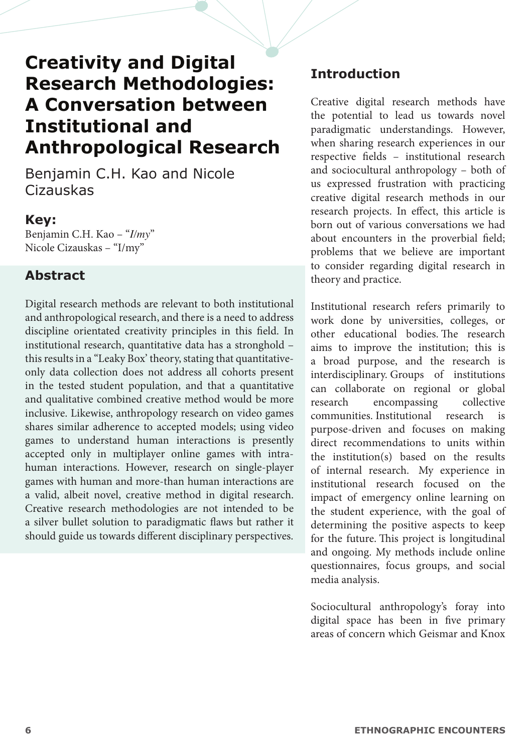# **Creativity and Digital Research Methodologies: A Conversation between Institutional and Anthropological Research**

Benjamin C.H. Kao and Nicole Cizauskas

#### **Key:**

Benjamin C.H. Kao – "*I/my*" Nicole Cizauskas – "I/my"

#### **Abstract**

Digital research methods are relevant to both institutional and anthropological research, and there is a need to address discipline orientated creativity principles in this field. In institutional research, quantitative data has a stronghold – this results in a "Leaky Box' theory, stating that quantitativeonly data collection does not address all cohorts present in the tested student population, and that a quantitative and qualitative combined creative method would be more inclusive. Likewise, anthropology research on video games shares similar adherence to accepted models; using video games to understand human interactions is presently accepted only in multiplayer online games with intrahuman interactions. However, research on single-player games with human and more-than human interactions are a valid, albeit novel, creative method in digital research. Creative research methodologies are not intended to be a silver bullet solution to paradigmatic flaws but rather it should guide us towards different disciplinary perspectives.

## **Introduction**

Creative digital research methods have the potential to lead us towards novel paradigmatic understandings. However, when sharing research experiences in our respective fields – institutional research and sociocultural anthropology – both of us expressed frustration with practicing creative digital research methods in our research projects. In effect, this article is born out of various conversations we had about encounters in the proverbial field; problems that we believe are important to consider regarding digital research in theory and practice.

Institutional research refers primarily to work done by universities, colleges, or other educational bodies. The research aims to improve the institution; this is a broad purpose, and the research is interdisciplinary. Groups of institutions can collaborate on regional or global research encompassing collective communities. Institutional research is purpose-driven and focuses on making direct recommendations to units within the institution(s) based on the results of internal research. My experience in institutional research focused on the impact of emergency online learning on the student experience, with the goal of determining the positive aspects to keep for the future. This project is longitudinal and ongoing. My methods include online questionnaires, focus groups, and social media analysis.

Sociocultural anthropology's foray into digital space has been in five primary areas of concern which Geismar and Knox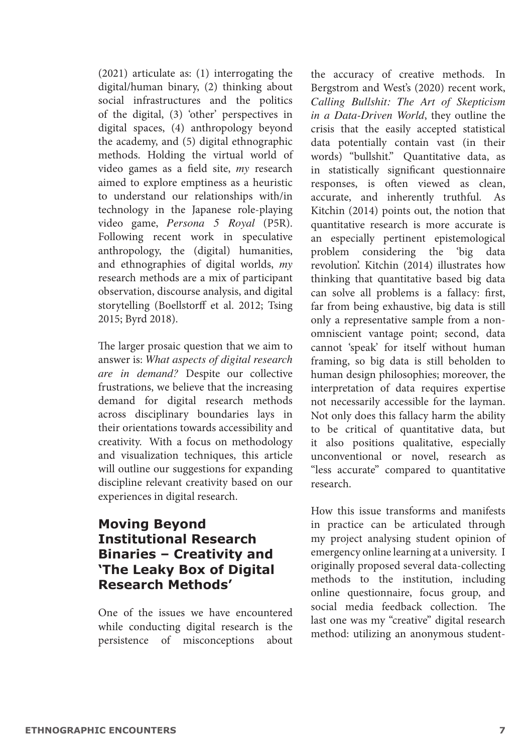(2021) articulate as: (1) interrogating the digital/human binary, (2) thinking about social infrastructures and the politics of the digital, (3) 'other' perspectives in digital spaces, (4) anthropology beyond the academy, and (5) digital ethnographic methods. Holding the virtual world of video games as a field site, *my* research aimed to explore emptiness as a heuristic to understand our relationships with/in technology in the Japanese role-playing video game, *Persona 5 Royal* (P5R). Following recent work in speculative anthropology, the (digital) humanities, and ethnographies of digital worlds, *my*  research methods are a mix of participant observation, discourse analysis, and digital storytelling (Boellstorff et al. 2012; Tsing 2015; Byrd 2018).

The larger prosaic question that we aim to answer is: *What aspects of digital research are in demand?* Despite our collective frustrations, we believe that the increasing demand for digital research methods across disciplinary boundaries lays in their orientations towards accessibility and creativity. With a focus on methodology and visualization techniques, this article will outline our suggestions for expanding discipline relevant creativity based on our experiences in digital research.

## **Moving Beyond Institutional Research Binaries – Creativity and 'The Leaky Box of Digital Research Methods'**

One of the issues we have encountered while conducting digital research is the persistence of misconceptions about the accuracy of creative methods. In Bergstrom and West's (2020) recent work, *Calling Bullshit: The Art of Skepticism in a Data-Driven World*, they outline the crisis that the easily accepted statistical data potentially contain vast (in their words) "bullshit." Quantitative data, as in statistically significant questionnaire responses, is often viewed as clean, accurate, and inherently truthful. As Kitchin (2014) points out, the notion that quantitative research is more accurate is an especially pertinent epistemological problem considering the 'big data revolution'. Kitchin (2014) illustrates how thinking that quantitative based big data can solve all problems is a fallacy: first, far from being exhaustive, big data is still only a representative sample from a nonomniscient vantage point; second, data cannot 'speak' for itself without human framing, so big data is still beholden to human design philosophies; moreover, the interpretation of data requires expertise not necessarily accessible for the layman. Not only does this fallacy harm the ability to be critical of quantitative data, but it also positions qualitative, especially unconventional or novel, research as "less accurate" compared to quantitative research.

How this issue transforms and manifests in practice can be articulated through my project analysing student opinion of emergency online learning at a university. I originally proposed several data-collecting methods to the institution, including online questionnaire, focus group, and social media feedback collection. The last one was my "creative" digital research method: utilizing an anonymous student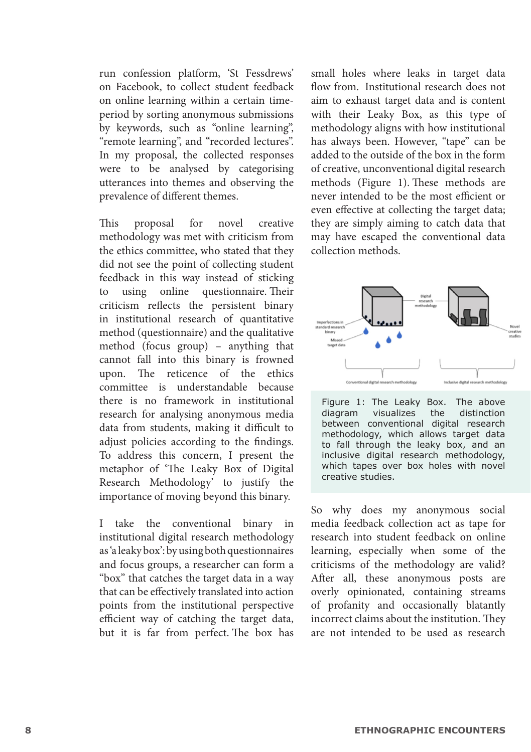run confession platform, 'St Fessdrews' on Facebook, to collect student feedback on online learning within a certain timeperiod by sorting anonymous submissions by keywords, such as "online learning", "remote learning", and "recorded lectures". In my proposal, the collected responses were to be analysed by categorising utterances into themes and observing the prevalence of different themes.

This proposal for novel creative methodology was met with criticism from the ethics committee, who stated that they did not see the point of collecting student feedback in this way instead of sticking to using online questionnaire. Their criticism reflects the persistent binary in institutional research of quantitative method (questionnaire) and the qualitative method (focus group) – anything that cannot fall into this binary is frowned upon. The reticence of the ethics committee is understandable because there is no framework in institutional research for analysing anonymous media data from students, making it difficult to adjust policies according to the findings. To address this concern, I present the metaphor of 'The Leaky Box of Digital Research Methodology' to justify the importance of moving beyond this binary.

I take the conventional binary in institutional digital research methodology as 'a leaky box': by using both questionnaires and focus groups, a researcher can form a "box" that catches the target data in a way that can be effectively translated into action points from the institutional perspective efficient way of catching the target data, but it is far from perfect. The box has

small holes where leaks in target data flow from. Institutional research does not aim to exhaust target data and is content with their Leaky Box, as this type of methodology aligns with how institutional has always been. However, "tape" can be added to the outside of the box in the form of creative, unconventional digital research methods (Figure 1). These methods are never intended to be the most efficient or even effective at collecting the target data; they are simply aiming to catch data that may have escaped the conventional data collection methods.



Figure 1: The Leaky Box. The above<br>diagram visualizes the distinction diagram visualizes between conventional digital research methodology, which allows target data to fall through the leaky box, and an inclusive digital research methodology, which tapes over box holes with novel creative studies.

So why does my anonymous social media feedback collection act as tape for research into student feedback on online learning, especially when some of the criticisms of the methodology are valid? After all, these anonymous posts are overly opinionated, containing streams of profanity and occasionally blatantly incorrect claims about the institution. They are not intended to be used as research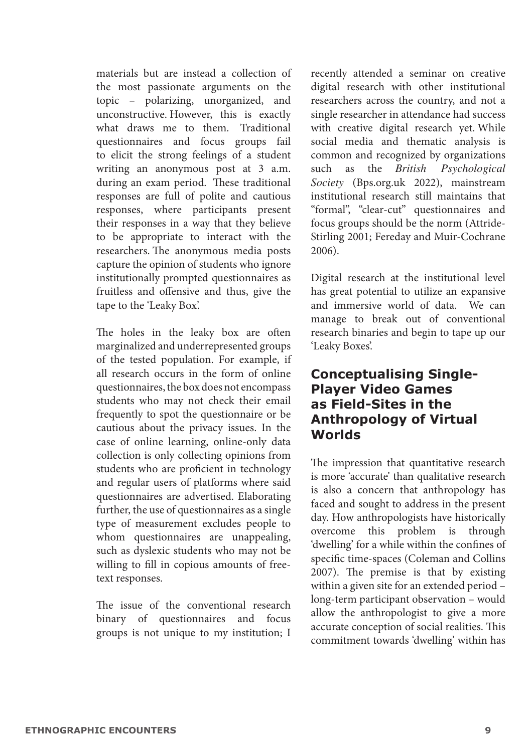materials but are instead a collection of the most passionate arguments on the topic – polarizing, unorganized, and unconstructive. However, this is exactly what draws me to them. Traditional questionnaires and focus groups fail to elicit the strong feelings of a student writing an anonymous post at 3 a.m. during an exam period. These traditional responses are full of polite and cautious responses, where participants present their responses in a way that they believe to be appropriate to interact with the researchers. The anonymous media posts capture the opinion of students who ignore institutionally prompted questionnaires as fruitless and offensive and thus, give the tape to the 'Leaky Box'.

The holes in the leaky box are often marginalized and underrepresented groups of the tested population. For example, if all research occurs in the form of online questionnaires, the box does not encompass students who may not check their email frequently to spot the questionnaire or be cautious about the privacy issues. In the case of online learning, online-only data collection is only collecting opinions from students who are proficient in technology and regular users of platforms where said questionnaires are advertised. Elaborating further, the use of questionnaires as a single type of measurement excludes people to whom questionnaires are unappealing, such as dyslexic students who may not be willing to fill in copious amounts of freetext responses.

The issue of the conventional research binary of questionnaires and focus groups is not unique to my institution; I recently attended a seminar on creative digital research with other institutional researchers across the country, and not a single researcher in attendance had success with creative digital research yet. While social media and thematic analysis is common and recognized by organizations such as the *British Psychological Society* (Bps.org.uk 2022), mainstream institutional research still maintains that "formal", "clear-cut" questionnaires and focus groups should be the norm (Attride-Stirling 2001; Fereday and Muir-Cochrane 2006).

Digital research at the institutional level has great potential to utilize an expansive and immersive world of data. We can manage to break out of conventional research binaries and begin to tape up our 'Leaky Boxes'.

## **Conceptualising Single-Player Video Games as Field-Sites in the Anthropology of Virtual Worlds**

The impression that quantitative research is more 'accurate' than qualitative research is also a concern that anthropology has faced and sought to address in the present day. How anthropologists have historically overcome this problem is through 'dwelling' for a while within the confines of specific time-spaces (Coleman and Collins 2007). The premise is that by existing within a given site for an extended period – long-term participant observation – would allow the anthropologist to give a more accurate conception of social realities. This commitment towards 'dwelling' within has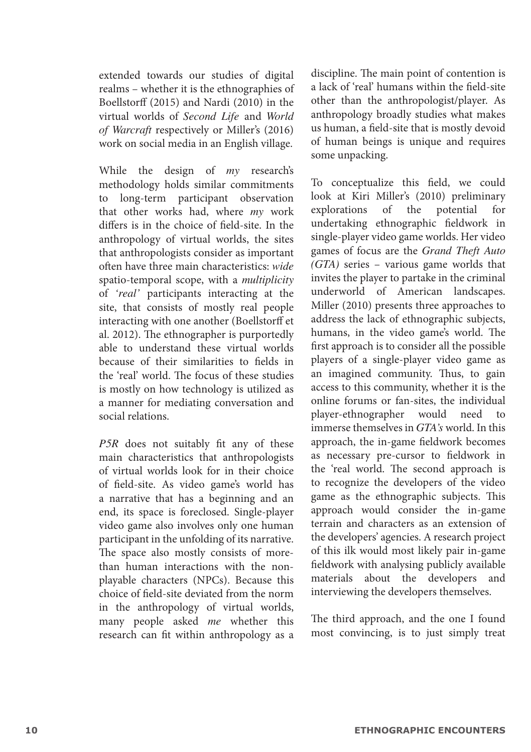extended towards our studies of digital realms – whether it is the ethnographies of Boellstorff (2015) and Nardi (2010) in the virtual worlds of *Second Life* and *World of Warcraft* respectively or Miller's (2016) work on social media in an English village.

While the design of *my* research's methodology holds similar commitments to long-term participant observation that other works had, where *my* work differs is in the choice of field-site. In the anthropology of virtual worlds, the sites that anthropologists consider as important often have three main characteristics: *wide* spatio-temporal scope, with a *multiplicity* of *'real'* participants interacting at the site, that consists of mostly real people interacting with one another (Boellstorff et al. 2012). The ethnographer is purportedly able to understand these virtual worlds because of their similarities to fields in the 'real' world. The focus of these studies is mostly on how technology is utilized as a manner for mediating conversation and social relations.

*P5R* does not suitably fit any of these main characteristics that anthropologists of virtual worlds look for in their choice of field-site. As video game's world has a narrative that has a beginning and an end, its space is foreclosed. Single-player video game also involves only one human participant in the unfolding of its narrative. The space also mostly consists of morethan human interactions with the nonplayable characters (NPCs). Because this choice of field-site deviated from the norm in the anthropology of virtual worlds, many people asked *me* whether this research can fit within anthropology as a

discipline. The main point of contention is a lack of 'real' humans within the field-site other than the anthropologist/player. As anthropology broadly studies what makes us human, a field-site that is mostly devoid of human beings is unique and requires some unpacking.

To conceptualize this field, we could look at Kiri Miller's (2010) preliminary of the potential for undertaking ethnographic fieldwork in single-player video game worlds. Her video games of focus are the *Grand Theft Auto (GTA)* series – various game worlds that invites the player to partake in the criminal underworld of American landscapes. Miller (2010) presents three approaches to address the lack of ethnographic subjects, humans, in the video game's world. The first approach is to consider all the possible players of a single-player video game as an imagined community. Thus, to gain access to this community, whether it is the online forums or fan-sites, the individual player-ethnographer would need immerse themselves in *GTA's* world. In this approach, the in-game fieldwork becomes as necessary pre-cursor to fieldwork in the 'real world. The second approach is to recognize the developers of the video game as the ethnographic subjects. This approach would consider the in-game terrain and characters as an extension of the developers' agencies. A research project of this ilk would most likely pair in-game fieldwork with analysing publicly available materials about the developers and interviewing the developers themselves.

The third approach, and the one I found most convincing, is to just simply treat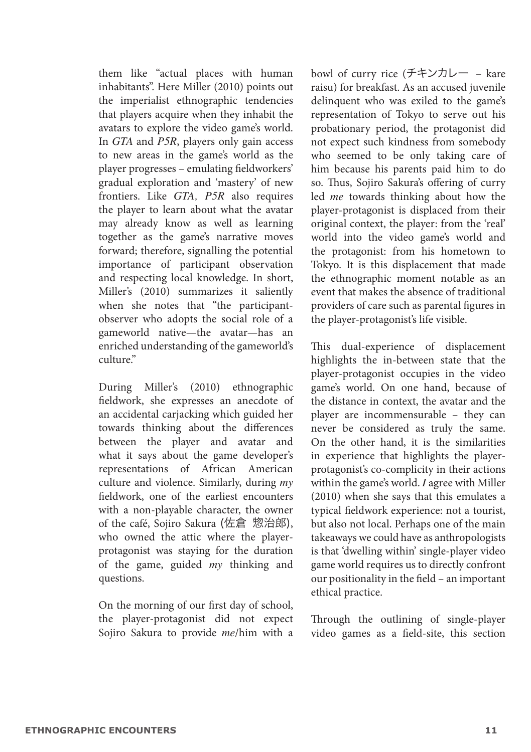them like "actual places with human inhabitants". Here Miller (2010) points out the imperialist ethnographic tendencies that players acquire when they inhabit the avatars to explore the video game's world. In *GTA* and *P5R*, players only gain access to new areas in the game's world as the player progresses – emulating fieldworkers' gradual exploration and 'mastery' of new frontiers. Like *GTA, P5R* also requires the player to learn about what the avatar may already know as well as learning together as the game's narrative moves forward; therefore, signalling the potential importance of participant observation and respecting local knowledge. In short, Miller's (2010) summarizes it saliently when she notes that "the participantobserver who adopts the social role of a gameworld native—the avatar—has an enriched understanding of the gameworld's culture."

During Miller's (2010) ethnographic fieldwork, she expresses an anecdote of an accidental carjacking which guided her towards thinking about the differences between the player and avatar and what it says about the game developer's representations of African American culture and violence. Similarly, during *my*  fieldwork, one of the earliest encounters with a non-playable character, the owner of the café, Sojiro Sakura (佐倉 惣治郎), who owned the attic where the playerprotagonist was staying for the duration of the game, guided *my* thinking and questions.

On the morning of our first day of school, the player-protagonist did not expect Sojiro Sakura to provide *me*/him with a

bowl of curry rice (チキンカレー – kare raisu) for breakfast. As an accused juvenile delinquent who was exiled to the game's representation of Tokyo to serve out his probationary period, the protagonist did not expect such kindness from somebody who seemed to be only taking care of him because his parents paid him to do so. Thus, Sojiro Sakura's offering of curry led *me* towards thinking about how the player-protagonist is displaced from their original context, the player: from the 'real' world into the video game's world and the protagonist: from his hometown to Tokyo. It is this displacement that made the ethnographic moment notable as an event that makes the absence of traditional providers of care such as parental figures in the player-protagonist's life visible.

This dual-experience of displacement highlights the in-between state that the player-protagonist occupies in the video game's world. On one hand, because of the distance in context, the avatar and the player are incommensurable – they can never be considered as truly the same. On the other hand, it is the similarities in experience that highlights the playerprotagonist's co-complicity in their actions within the game's world. *I* agree with Miller (2010) when she says that this emulates a typical fieldwork experience: not a tourist, but also not local. Perhaps one of the main takeaways we could have as anthropologists is that 'dwelling within' single-player video game world requires us to directly confront our positionality in the field – an important ethical practice.

Through the outlining of single-player video games as a field-site, this section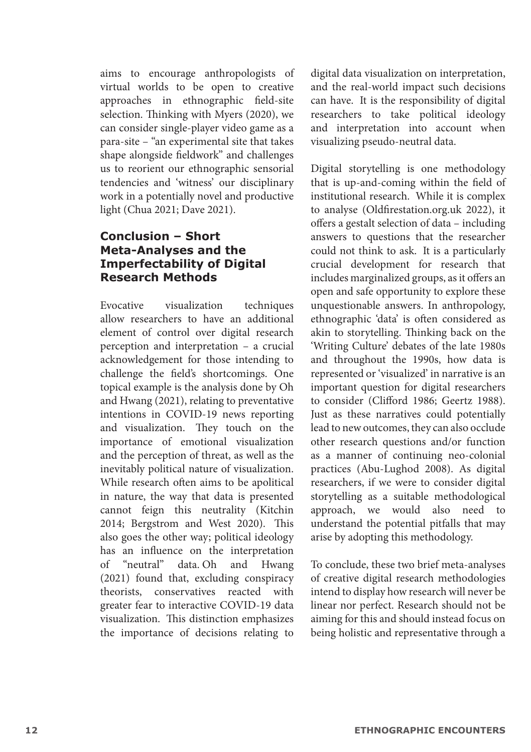aims to encourage anthropologists of virtual worlds to be open to creative approaches in ethnographic field-site selection. Thinking with Myers (2020), we can consider single-player video game as a para-site – "an experimental site that takes shape alongside fieldwork" and challenges us to reorient our ethnographic sensorial tendencies and 'witness' our disciplinary work in a potentially novel and productive light (Chua 2021; Dave 2021).

#### **Conclusion – Short Meta-Analyses and the Imperfectability of Digital Research Methods**

Evocative visualization techniques allow researchers to have an additional element of control over digital research perception and interpretation – a crucial acknowledgement for those intending to challenge the field's shortcomings. One topical example is the analysis done by Oh and Hwang (2021), relating to preventative intentions in COVID-19 news reporting and visualization. They touch on the importance of emotional visualization and the perception of threat, as well as the inevitably political nature of visualization. While research often aims to be apolitical in nature, the way that data is presented cannot feign this neutrality (Kitchin 2014; Bergstrom and West 2020). This also goes the other way; political ideology has an influence on the interpretation of "neutral" data. Oh and Hwang (2021) found that, excluding conspiracy theorists, conservatives reacted with greater fear to interactive COVID-19 data visualization. This distinction emphasizes the importance of decisions relating to

digital data visualization on interpretation, and the real-world impact such decisions can have. It is the responsibility of digital researchers to take political ideology and interpretation into account when visualizing pseudo-neutral data.

Digital storytelling is one methodology that is up-and-coming within the field of institutional research. While it is complex to analyse (Oldfirestation.org.uk 2022), it offers a gestalt selection of data – including answers to questions that the researcher could not think to ask. It is a particularly crucial development for research that includes marginalized groups, as it offers an open and safe opportunity to explore these unquestionable answers. In anthropology, ethnographic 'data' is often considered as akin to storytelling. Thinking back on the 'Writing Culture' debates of the late 1980s and throughout the 1990s, how data is represented or 'visualized' in narrative is an important question for digital researchers to consider (Clifford 1986; Geertz 1988). Just as these narratives could potentially lead to new outcomes, they can also occlude other research questions and/or function as a manner of continuing neo-colonial practices (Abu-Lughod 2008). As digital researchers, if we were to consider digital storytelling as a suitable methodological approach, we would also need to understand the potential pitfalls that may arise by adopting this methodology.

To conclude, these two brief meta-analyses of creative digital research methodologies intend to display how research will never be linear nor perfect. Research should not be aiming for this and should instead focus on being holistic and representative through a